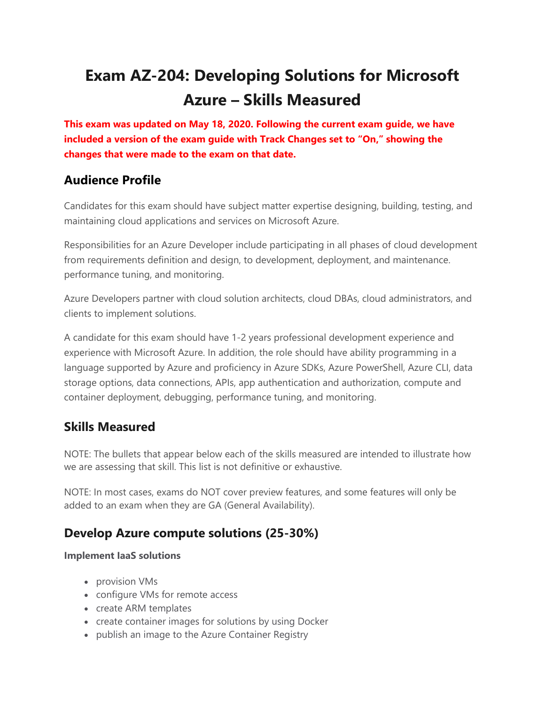# **Exam AZ-204: Developing Solutions for Microsoft Azure – Skills Measured**

**This exam was updated on May 18, 2020. Following the current exam guide, we have included a version of the exam guide with Track Changes set to "On," showing the changes that were made to the exam on that date.**

# **Audience Profile**

Candidates for this exam should have subject matter expertise designing, building, testing, and maintaining cloud applications and services on Microsoft Azure.

Responsibilities for an Azure Developer include participating in all phases of cloud development from requirements definition and design, to development, deployment, and maintenance. performance tuning, and monitoring.

Azure Developers partner with cloud solution architects, cloud DBAs, cloud administrators, and clients to implement solutions.

A candidate for this exam should have 1-2 years professional development experience and experience with Microsoft Azure. In addition, the role should have ability programming in a language supported by Azure and proficiency in Azure SDKs, Azure PowerShell, Azure CLI, data storage options, data connections, APIs, app authentication and authorization, compute and container deployment, debugging, performance tuning, and monitoring.

# **Skills Measured**

NOTE: The bullets that appear below each of the skills measured are intended to illustrate how we are assessing that skill. This list is not definitive or exhaustive.

NOTE: In most cases, exams do NOT cover preview features, and some features will only be added to an exam when they are GA (General Availability).

# **Develop Azure compute solutions (25-30%)**

### **Implement IaaS solutions**

- provision VMs
- configure VMs for remote access
- create ARM templates
- create container images for solutions by using Docker
- publish an image to the Azure Container Registry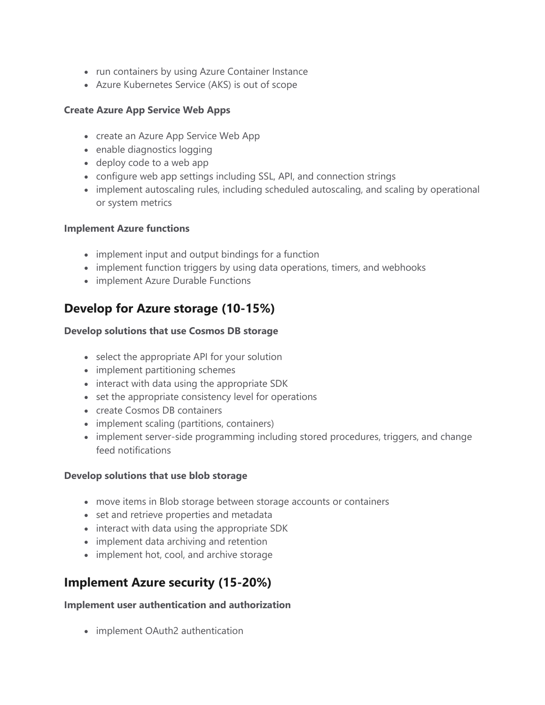- run containers by using Azure Container Instance
- Azure Kubernetes Service (AKS) is out of scope

### **Create Azure App Service Web Apps**

- create an Azure App Service Web App
- enable diagnostics logging
- deploy code to a web app
- configure web app settings including SSL, API, and connection strings
- implement autoscaling rules, including scheduled autoscaling, and scaling by operational or system metrics

### **Implement Azure functions**

- implement input and output bindings for a function
- implement function triggers by using data operations, timers, and webhooks
- implement Azure Durable Functions

# **Develop for Azure storage (10-15%)**

### **Develop solutions that use Cosmos DB storage**

- select the appropriate API for your solution
- implement partitioning schemes
- interact with data using the appropriate SDK
- set the appropriate consistency level for operations
- create Cosmos DB containers
- implement scaling (partitions, containers)
- implement server-side programming including stored procedures, triggers, and change feed notifications

### **Develop solutions that use blob storage**

- move items in Blob storage between storage accounts or containers
- set and retrieve properties and metadata
- interact with data using the appropriate SDK
- implement data archiving and retention
- implement hot, cool, and archive storage

# **Implement Azure security (15-20%)**

### **Implement user authentication and authorization**

• implement OAuth2 authentication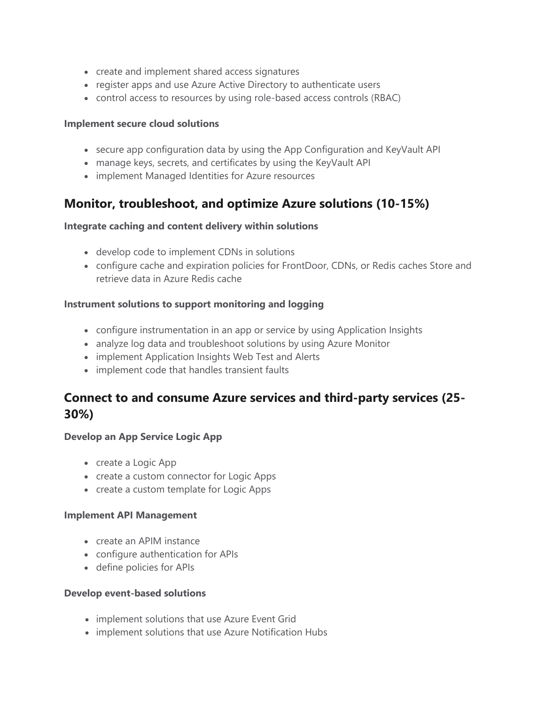- create and implement shared access signatures
- register apps and use Azure Active Directory to authenticate users
- control access to resources by using role-based access controls (RBAC)

#### **Implement secure cloud solutions**

- secure app configuration data by using the App Configuration and KeyVault API
- manage keys, secrets, and certificates by using the KeyVault API
- implement Managed Identities for Azure resources

### **Monitor, troubleshoot, and optimize Azure solutions (10-15%)**

### **Integrate caching and content delivery within solutions**

- develop code to implement CDNs in solutions
- configure cache and expiration policies for FrontDoor, CDNs, or Redis caches Store and retrieve data in Azure Redis cache

### **Instrument solutions to support monitoring and logging**

- configure instrumentation in an app or service by using Application Insights
- analyze log data and troubleshoot solutions by using Azure Monitor
- implement Application Insights Web Test and Alerts
- implement code that handles transient faults

# **Connect to and consume Azure services and third-party services (25- 30%)**

### **Develop an App Service Logic App**

- create a Logic App
- create a custom connector for Logic Apps
- create a custom template for Logic Apps

### **Implement API Management**

- create an APIM instance
- configure authentication for APIs
- define policies for APIs

### **Develop event-based solutions**

- implement solutions that use Azure Event Grid
- implement solutions that use Azure Notification Hubs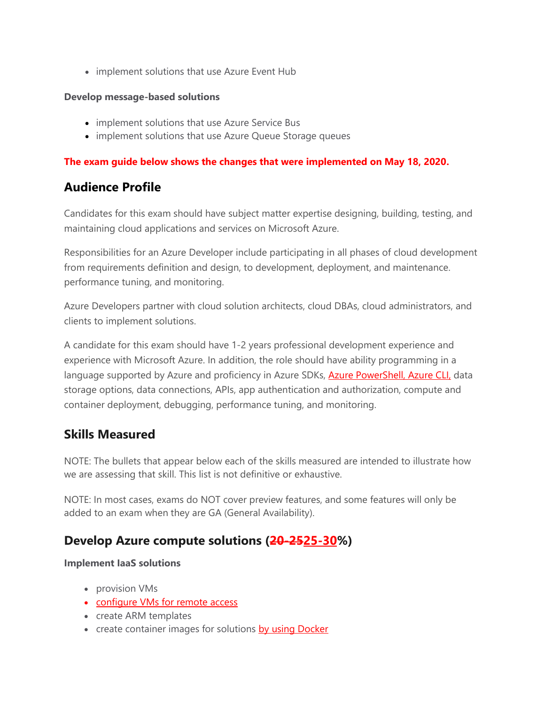• implement solutions that use Azure Event Hub

### **Develop message-based solutions**

- implement solutions that use Azure Service Bus
- implement solutions that use Azure Queue Storage queues

### **The exam guide below shows the changes that were implemented on May 18, 2020.**

# **Audience Profile**

Candidates for this exam should have subject matter expertise designing, building, testing, and maintaining cloud applications and services on Microsoft Azure.

Responsibilities for an Azure Developer include participating in all phases of cloud development from requirements definition and design, to development, deployment, and maintenance. performance tuning, and monitoring.

Azure Developers partner with cloud solution architects, cloud DBAs, cloud administrators, and clients to implement solutions.

A candidate for this exam should have 1-2 years professional development experience and experience with Microsoft Azure. In addition, the role should have ability programming in a language supported by Azure and proficiency in Azure SDKs, **Azure PowerShell, Azure CLI**, data storage options, data connections, APIs, app authentication and authorization, compute and container deployment, debugging, performance tuning, and monitoring.

### **Skills Measured**

NOTE: The bullets that appear below each of the skills measured are intended to illustrate how we are assessing that skill. This list is not definitive or exhaustive.

NOTE: In most cases, exams do NOT cover preview features, and some features will only be added to an exam when they are GA (General Availability).

# **Develop Azure compute solutions (20-2525-30%)**

### **Implement IaaS solutions**

- provision VMs
- configure VMs for remote access
- create ARM templates
- create container images for solutions by using Docker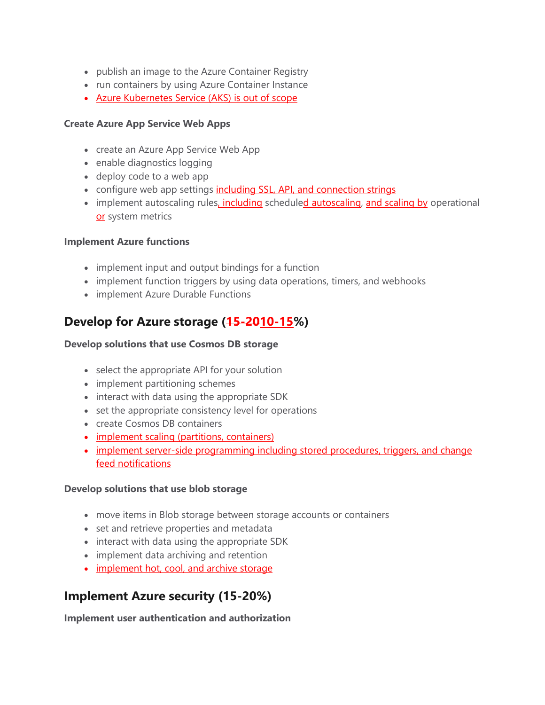- publish an image to the Azure Container Registry
- run containers by using Azure Container Instance
- Azure Kubernetes Service (AKS) is out of scope

### **Create Azure App Service Web Apps**

- create an Azure App Service Web App
- enable diagnostics logging
- deploy code to a web app
- configure web app settings including SSL, API, and connection strings
- implement autoscaling rules, including scheduled autoscaling, and scaling by operational or system metrics

### **Implement Azure functions**

- implement input and output bindings for a function
- implement function triggers by using data operations, timers, and webhooks
- implement Azure Durable Functions

# **Develop for Azure storage (15-2010-15%)**

### **Develop solutions that use Cosmos DB storage**

- select the appropriate API for your solution
- implement partitioning schemes
- interact with data using the appropriate SDK
- set the appropriate consistency level for operations
- create Cosmos DB containers
- implement scaling (partitions, containers)
- implement server-side programming including stored procedures, triggers, and change feed notifications

### **Develop solutions that use blob storage**

- move items in Blob storage between storage accounts or containers
- set and retrieve properties and metadata
- interact with data using the appropriate SDK
- implement data archiving and retention
- implement hot, cool, and archive storage

# **Implement Azure security (15-20%)**

**Implement user authentication and authorization**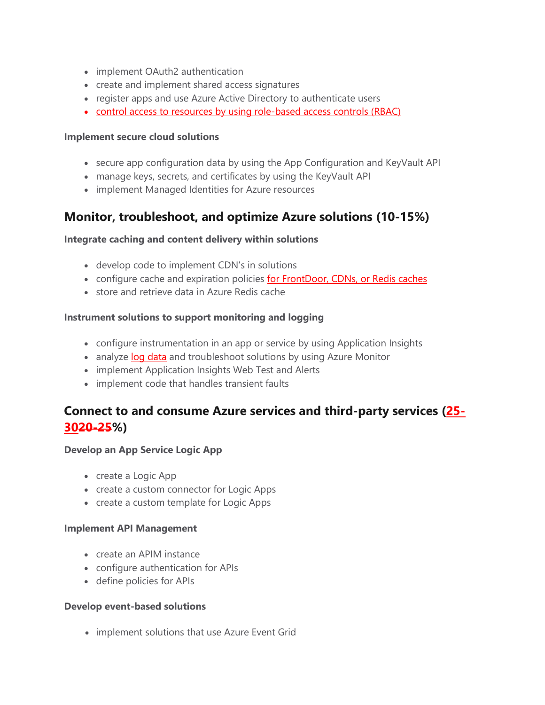- implement OAuth2 authentication
- create and implement shared access signatures
- register apps and use Azure Active Directory to authenticate users
- control access to resources by using role-based access controls (RBAC)

### **Implement secure cloud solutions**

- secure app configuration data by using the App Configuration and KeyVault API
- manage keys, secrets, and certificates by using the KeyVault API
- implement Managed Identities for Azure resources

# **Monitor, troubleshoot, and optimize Azure solutions (10-15%)**

### **Integrate caching and content delivery within solutions**

- develop code to implement CDN's in solutions
- configure cache and expiration policies for FrontDoor, CDNs, or Redis caches
- store and retrieve data in Azure Redis cache

### **Instrument solutions to support monitoring and logging**

- configure instrumentation in an app or service by using Application Insights
- analyze log data and troubleshoot solutions by using Azure Monitor
- implement Application Insights Web Test and Alerts
- implement code that handles transient faults

# **Connect to and consume Azure services and third-party services (25- 3020-25%)**

### **Develop an App Service Logic App**

- create a Logic App
- create a custom connector for Logic Apps
- create a custom template for Logic Apps

### **Implement API Management**

- create an APIM instance
- configure authentication for APIs
- define policies for APIs

### **Develop event-based solutions**

• implement solutions that use Azure Event Grid